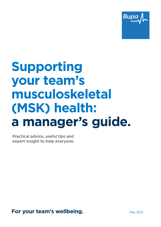

## **Supporting your team's musculoskeletal (MSK) health: a manager's guide.**

Practical advice, useful tips and expert insight to help everyone.

**For your team's wellbeing. May 2021.** May 2021.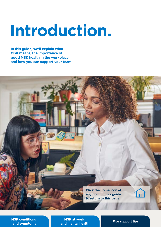# **Introduction.**

**In this guide, we'll explain what MSK means, the importance of good MSK health in the workplace, and how you can support your team.**



**[MSK conditions](#page-2-0)  and symptoms**

**MSK at work [and mental health](#page-5-0) <b>[Five support tips](#page-8-0)**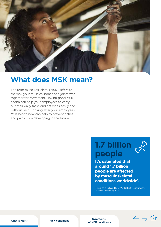<span id="page-2-0"></span>

## **What does MSK mean?**

The term musculoskeletal (MSK), refers to the way your muscles, bones and joints work together for movement. Having good MSK health can help your employees to carry out their daily tasks and activities easily and without pain. Looking after your employees' MSK health now can help to prevent aches and pains from developing in the future.

## **1.7 billion people**

**It's estimated that around 1.7 billion people are affected by musculoskeletal conditions worldwide1 .**

1 Musculoskeletal conditions. World Health Organization. Accessed 8 February 2021.

What is MSK? [MSK conditions](#page-3-0) Symptoms [of MSK conditions](#page-4-0)

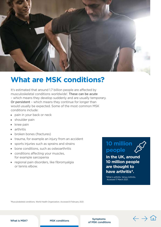<span id="page-3-0"></span>

## **What are MSK conditions?**

It's estimated that around 1.7 billion people are affected by musculoskeletal conditions worldwide<sup>1</sup>. These can be acute – which means they develop suddenly and are usually temporary. Or persistent – which means they continue for longer than would usually be expected. Some of the most common MSK conditions include:

- pain in your back or neck
- $\blacksquare$  shoulder pain
- $\blacksquare$  knee pain
- $arthritis$
- broken bones (fractures)
- **In trauma, for example an injury from an accident**
- **SPORTS** injuries such as sprains and strains
- Done conditions, such as osteoarthritis
- conditions affecting your muscles. for example sarcopenia
- $\blacksquare$  regional pain disorders, like fibromyalgia or tennis elbow.

## **10 million people**

**In the UK, around 10 million people are thought to have arthritis4.**

4 What is arthritis. Versus Arthritis. Accessed 17 March 2021.

1 Musculoskeletal conditions. World Health Organization. Accessed 8 February 2021.

[What is MSK?](#page-2-0) MSK conditions MSK Symptoms [of MSK conditions](#page-4-0)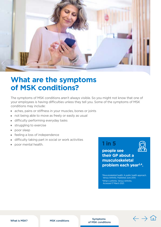<span id="page-4-0"></span>

## **What are the symptoms of MSK conditions?**

The symptoms of MSK conditions aren't always visible. So you might not know that one of your employees is having difficulties unless they tell you. Some of the symptoms of MSK conditions may include:

- aches, pains or stiffness in your muscles, bones or joints
- not being able to move as freely or easily as usual
- difficulty performing everyday tasks
- $\blacksquare$  struggling to exercise
- **poor sleep**
- $\blacksquare$  feeling a loss of independence
- $\blacksquare$  difficulty taking part in social or work activities
- **1 in 5** poor mental health.

**people see their GP about a musculoskeletal problem each year2,4.**

2 Musculoskeletal health: A public health approach. Versus Arthritis. Published June 2014. 4 What is arthritis. Versus Arthritis. Accessed 17 March 2021.

[What is MSK?](#page-2-0) [MSK conditions](#page-3-0) MSK Symptoms of MSK conditions

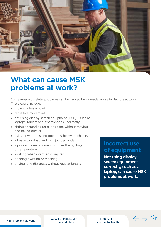<span id="page-5-0"></span>

## **What can cause MSK problems at work?**

Some musculoskeletal problems can be caused by, or made worse by, factors at work. These could include:

- **n** moving a heavy load
- $\blacksquare$  repetitive movements
- $\blacksquare$  not using display screen equipment (DSE) such as laptops, tablets and smartphones - correctly
- $\blacksquare$  sitting or standing for a long time without moving and taking breaks
- using power tools and operating heavy machinery
- a heavy workload and high job demands
- a poor work environment, such as the lighting or temperature
- **v** working when overtired or injured
- bending, twisting or reaching
- **I** driving long distances without regular breaks.

### **Incorrect use of equipment**

**Not using display screen equipment correctly, such as a laptop, can cause MSK problems at work.**

 $\leftarrow$  -

MSK problems at work **Impact of MSK health** in the workplace

MSK health [and mental health](#page-7-0)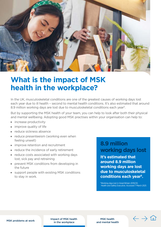<span id="page-6-0"></span>

## **What is the impact of MSK health in the workplace?**

In the UK, musculoskeletal conditions are one of the greatest causes of working days lost each year due to ill health – second to mental health conditions. It's also estimated that around 8.9 million working days are lost due to musculoskeletal conditions each year<sup>5</sup>.

But by supporting the MSK health of your team, you can help to look after both their physical and mental wellbeing. Adopting good MSK practises within your organisation can help to:

- **n** increase productivity
- improve quality of life
- $\blacksquare$  reduce sickness absence
- reduce presenteeism (working even when feeling unwell)
- $\blacksquare$  improve retention and recruitment
- **Example 2** reduce the incidence of early retirement
- $\blacksquare$  reduce costs associated with working days lost, sick pay and retraining
- **PERICASE PREVENT MSK conditions from developing in** the future
- support people with existing MSK conditions to stay in work.

### **8.9 million working days lost**

**It's estimated that around 8.9 million working days are lost due to musculoskeletal conditions each year5.**

5 Working days lost in Great Britain 2019/20. Health and Safety Executive. Accessed 7 March 2021.

[MSK problems at work](#page-5-0) **Impact of MSK health** in the workplace

MSK health [and mental health](#page-7-0)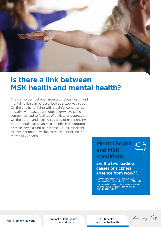<span id="page-7-0"></span>

## **Is there a link between MSK health and mental health?**

The connection between musculoskeletal health and mental health can be described as a two-way street. On the one hand, living with a painful condition can negatively impact your mood, energy levels and sometimes lead to feelings of anxiety or depression. On the other hand, feeling stressed or experiencing poor mental health can result in physical symptoms or make any existing pain worse. So, it's important to consider mental wellbeing when supporting your team's MSK health.

## **Mental health and MSK conditions**

**are the two leading causes of sickness absence from work5,6.**

5 Working days lost in Great Britain 2019/20. Health and Safety Executive. Accessed 7 March 2021. 6 Musculoskeletal health in the workplace: a toolkit for employers. Business In The Community. Published March 2017.

[MSK problems at work](#page-5-0) **Impact of MSK health** in the workplace

MSK health and mental health

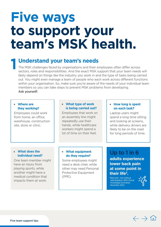# <span id="page-8-0"></span>**Five ways to support your team's MSK health.**

## **1 Understand your team's needs**

The MSK challenges faced by organisations and their employees often differ across sectors, roles and responsibilities. And the exact MSK support that your team needs will likely depend on things like the industry you work in and the type of tasks being carried out. You might even manage a team of people who each work across different functions within your organisation. So, make sure you're aware of the needs of your individual team members so you can take steps to prevent MSK problems from developing. **Ask yourself:**

#### **u** Where are **they working?**

Employees could work from home, an office, warehouse, construction site, store or clinic.

#### **What type of work is being carried out?**

Employees that work on an assembly line might repeatedly use their hands, while healthcare workers might spend a lot of time on their feet.

#### **E** How long is spent **on each task?**

Laptop users might spend a long time sitting and looking at screens, while delivery drivers are likely to be on the road for long periods of time.

#### **What does the individual need?**

One team member might have an injury from playing sports, while another might have a medical condition that impacts them at work.

#### **What equipment do they require?**

Some employees might need a desk chair, while other may need Personal Protective Equipment (PPE).

## **Up to 1 in 6**

**adults experience lower back pain at some point in their life3.**

3 Back pain - low (without radiculopathy). NICE Clinical Knowledge Summaries. November 2020.



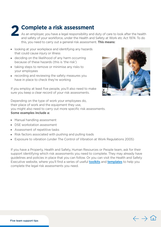**2 Complete a risk assessment**

As an employer, you have a legal responsibility and duty of care to look after the health and safety of your workforce, under the Health and Safety at Work etc Act 1974. To do this, you need to carry out a general risk assessment. **This means:**

- I looking at your workplace and identifying any hazards that could cause injury or illness
- $\blacksquare$  deciding on the likelihood of any harm occurring because of these hazards (this is 'the risk')
- $\blacksquare$  taking steps to remove or minimise any risks to your employees
- $\blacksquare$  recording and reviewing the safety measures you have in place to check they're working



If you employ at least five people, you'll also need to make sure you keep a clear record of your risk assessments.

Depending on the type of work your employees do, their place of work and the equipment they use, you might also need to carry out more specific risk assessments. **Some examples include a:**

- $M$ anual handling assessment
- DSE workstation assessment
- Assessment of repetitive tasks
- Risk factors associated with pushing and pulling loads
- Exposure to vibration (under The Control of Vibration at Work Regulations 2005)

If you have a Property, Health and Safety, Human Resources or People team, ask for their support identifying which risk assessments you need to complete. They may already have guidelines and policies in place that you can follow. Or you can visit the Health and Safety Executive website, where you'll find a series of useful **[toolkits](https://www.hse.gov.uk/msd/toolkit.htm)** and **[templates](https://www.hse.gov.uk/simple-health-safety/risk/risk-assessment-template-and-examples.htm)** to help you complete the legal risk assessments you need.

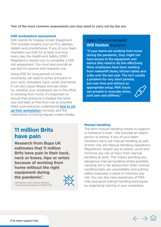**Two of the most common assessments you may need to carry out by law are:**

#### **DSE workstation assessment**

DSE stands for Display Screen Equipment. This includes screens such as PCs, laptops, tablets and smartphones. If any of your team members use DSE for at least one hour every day, the Health and Safety (DSE) Regulations require you to complete a DSE risk assessment. You must also provide an eye test for anyone who requests one.

Using DSE for long periods of time incorrectly can lead to aches and pains in your neck, shoulders, back, wrists and hands. It can also cause fatigue and eye strain. So, whether your employees are in the office or working from home, it's important to ensure that everyone is treated the same way and kept as free from risk as possible. Make sure everyone understands [how to set](https://www.bupa.co.uk/newsroom/ourviews/home-working-reduce-aches-pains) [up their workstation](https://www.bupa.co.uk/newsroom/ourviews/home-working-reduce-aches-pains) correctly and the importance of having regular screen breaks.

### **Bupa Physiotherapist Will Kenton explains:**

**Manual handling**

"If your teams are working from home during the pandemic, they might not have access to the equipment and advice they need to do this effectively. Many employees have been working from makeshift desks, kitchen tables and sofas over the last year. This isn't usually a problem for very short periods, but over time and without an appropriate setup, MSK issues can present in muscular aches, joint pain and stiffness."

The term manual handling means to support or transport a load – this includes an object,

members carry out manual handling as part of their role, the Manual Handling Operations Regulations require you to assess, avoid and

person or animal. If any of your team

minimise any risk of injury from manual handling at work. This means avoiding any dangerous manual handling where possible, carrying out a risk assessment when manual handling tasks are unavoidable, and putting safety measures in place to minimise any risk. You can also raise awareness of MSK risks and good manual handling techniques by organising training in your workplace.

## **11 million Brits have pain**

**Research from Bupa UK estimates that 11 million Brits have pain in their back, neck or knees, hips or wrists because of working from home without the right equipment during**  the pandemic<sup>7</sup>.



7 Hurting from home. Opinium Research. Commissioned by Bupa UK. 14 May 2020.

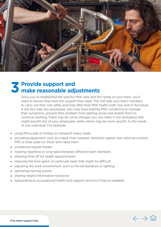

# **3 Provide support and make reasonable adjustments**

Once you've established the specific MSK risks and the needs of your team, you'll need to ensure they have the support they need. This will help your team members to carry out their role safely and look after their MSK health both now and in the future. It will also help any employees who may have existing MSK conditions to manage their symptoms, prevent their problem from getting worse and enable them to continue working. There may be some changes you can make in the workplace that might benefit lots of your employees, while others may be more specific to the needs of one individual. For example:

- using lifting aids or trolleys to transport heavy loads
- providing equipment, such as a desk chair, headset, footstool, laptop riser, external monitor, PPE or knee pads for those who need them
- $\blacksquare$  scheduling regular breaks
- rotating repetitive or long tasks between different team members
- $\blacksquare$  allowing time off for health appointments
- reducing the time spent on particular tasks that might be difficult
- adjusting the work environment, such as the temperature or lighting
- $\blacksquare$  delivering training events
- **sharing helpful information resources**
- signposting to occupational health and support services if they're available.

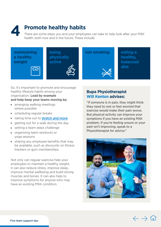## **4 Promote healthy habits**

There are some steps you and your employees can take to help look after your MSK health, both now and in the future. These include:





**being physically active**

**not smoking beating a healthy, balanced diet**

So, it's important to promote and encourage healthy lifestyle habits among your organisation. **Lead by example and help keep your teams moving by:**

- **n** arranging walking meetings where possible
- scheduling regular breaks
- taking time out to [stretch and move](https://www.bupa.co.uk/newsroom/ourviews/desk-stretches)
- $\blacksquare$  getting out for a walk during the day
- $\blacksquare$  setting a team steps challenge
- **p** organising team workouts or yoga sessions
- $\blacksquare$  sharing any employee benefits that may be available, such as discounts on fitness trackers or gym memberships.

Not only can regular exercise help your employees to maintain a healthy weight, it can also reduce stress, improve sleep, improve mental wellbeing and build strong muscles and bones. It can also help to improve symptoms for anyone who may have an existing MSK condition.

### **Bupa Physiotherapist Will Kenton advises:**

"If someone is in pain, they might think they need to rest or feel worried that exercise would make their pain worse. But physical activity can improve your symptoms if you have an existing MSK problem. If you're feeling unsure or your pain isn't improving, speak to a Physiotherapist for advice."



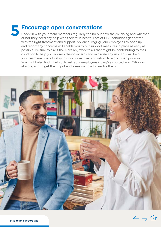# **5 Encourage open conversations**

Check in with your team members regularly to find out how they're doing and whether or not they need any help with their MSK health. Lots of MSK conditions get better with the right treatment and support. So, encouraging your employees to open up and report any concerns will enable you to put support measures in place as early as possible. Be sure to ask if there are any work tasks that might be contributing to their condition to help you address their concerns and minimise any risk. This will help your team members to stay in work, or recover and return to work when possible. You might also find it helpful to ask your employees if they've spotted any MSK risks at work, and to get their input and ideas on how to resolve them.



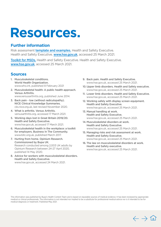## **Resources.**

### **Further information**

Risk assessment **[template and examples.](https://www.hse.gov.uk/simple-health-safety/risk/risk-assessment-template-and-examples.htm)** Health and Safety Executive. Health and Safety Executive. [www.hse.gov.uk](http://www.hse.gov.uk), accessed 25 March 2021.

[Toolkit for MSDs.](https://www.hse.gov.uk/msd/toolkit.htm) Health and Safety Executive. Health and Safety Executive. [www.hse.gov.uk](http://www.hse.gov.uk), accessed 25 March 2021.

### **Sources**

- 1. Musculoskeletal conditions. World Health Organization. [www.who.int,](https://www.who.int/news-room/fact-sheets/detail/musculoskeletal-conditions) published 8 February 2021
- 2. Musculoskeletal health: A public health approach. Versus Arthritis.
	- [www.versusarthritis.org](https://www.versusarthritis.org/media/2179/public-health-guide.pdf), published June 2014.
- 3. Back pain low (without radiculopathy). NICE Clinical Knowledge Summaries. [cks.nice.org.uk](https://cks.nice.org.uk/topics/back-pain-low-without-radiculopathy/background-information/prevalence/), last revised November 2020.
- 4. What is arthritis. Versus Arthritis. [versusarthritis.org](https://www.versusarthritis.org/about-arthritis/conditions/arthritis/), accessed 17 March 2021.
- 5. Working days lost in Great Britain 2019/20. Health and Safety Executive. www.[hse.gov.uk,](https://www.hse.gov.uk/statistics/dayslost.htm) accessed 17 March 2021.
- 6. Musculoskeletal health in the workplace: a toolkit for employers. Business In The Community. www.[bitc.org.uk](https://www.bitc.org.uk/wp-content/uploads/2019/10/bitc-wellbeing-toolkit-musculoskeletal-mar2017.pdf), published March 2017.
- 7. Hurting from home. Opinium Research. Commissioned by Bupa UK. Research conducted among 2,003 UK adults by Opinium Research between 24-27 April 2020, published 14 May 2020.
- 8. Advice for workers with musculoskeletal disorders. Health and Safety Executive. [www.hse.gov.uk](https://www.hse.gov.uk/msd/workers-msds.htm), accessed 24 March 2021.
- 9. Back pain. Health and Safety Executive. [www.hse.gov.uk,](https://www.hse.gov.uk/msd/backpain/index.htm) accessed 25 March 2021.
- 10. Upper limb disorders. Health and Safety executive. [www.hse.gov.uk,](http://www.hse.gov.uk/msd/uld/index.htm) accessed 25 March 2021.
- 11. Lower limb disorders. Health and Safety Executive. [www.hse.gov.uk,](https://www.hse.gov.uk/msd/lld/index.htm) accessed 25 March 2021.
- 12. Working safely with display screen equipment. Health and Safety Executive. [www.hse.gov.uk,](https://www.hse.gov.uk/msd/dse/index.htm) accessed 25 March 2021.
- 13. Manual handling at work. Health and Safety Executive. [www.hse.gov.uk,](https://www.hse.gov.uk/msd/manual-handling/index.htm) accessed 25 March 2021.
- 14. Musculoskeletal disorders at work. Health and Safety Executive. [www.hse.gov.uk,](https://www.hse.gov.uk/msd/msds.htm) accessed 25 March 2021.
- 15. Managing risks and risk assessment at work. Health and Safety Executive. [www.hse.gov.uk,](https://www.hse.gov.uk/simple-health-safety/risk/index.htm) accessed 25 March 2021.
- 16. The law on musculoskeletal disorders at work. Health and Safety executive. [www.hse.gov.uk,](http://www.hse.gov.uk/msd/legislation.htm) accessed 25 March 2021.

This information was published by Bupa's Health Content Team and is based on reputable sources of medical evidence. It has been reviewed by appropriate medical or clinical professionals. The information is not intended nor implied to be a substitute for professional medical advice nor is it intended to be for medical diagnosis or treatment. Published May 2021.